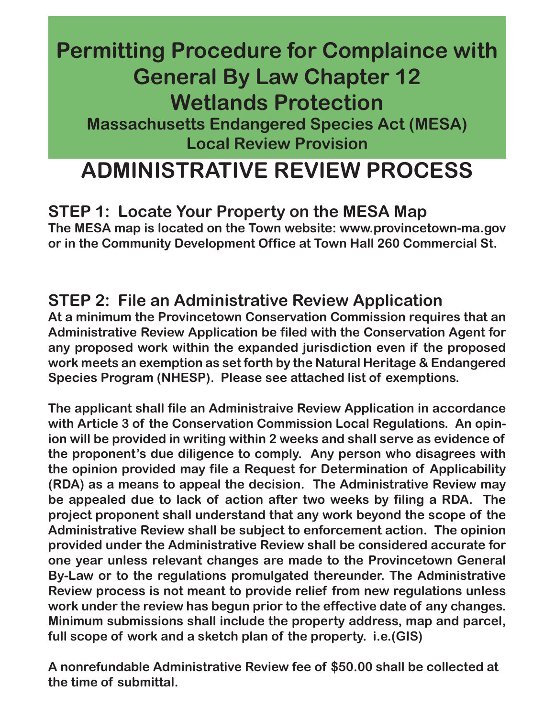# **Permitting Procedure for Complaince with General By Law Chapter 12 Wetlands Protection**

**Massachusetts Endangered Species Act (MESA) Local Review Provision**

# **ADMINISTRATIVE REVIEW PROCESS**

### **STEP 1: Locate Your Property on the MESA Map**

**The MESA map is located on the Town website: www.provincetown-ma.gov or in the Community Development Office at Town Hall 260 Commercial St.**

#### **STEP 2: File an Administrative Review Application**

**At a minimum the Provincetown Conservation Commission requires that an Administrative Review Application be filed with the Conservation Agent for any proposed work within the expanded jurisdiction even if the proposed work meets an exemption as set forth by the Natural Heritage & Endangered Species Program (NHESP). Please see attached list of exemptions.** 

**The applicant shall file an Administraive Review Application in accordance with Article 3 of the Conservation Commission Local Regulations. An opinion will be provided in writing within 2 weeks and shall serve as evidence of the proponent's due diligence to comply. Any person who disagrees with the opinion provided may file a Request for Determination of Applicability (RDA) as a means to appeal the decision. The Administrative Review may be appealed due to lack of action after two weeks by filing a RDA. The project proponent shall understand that any work beyond the scope of the Administrative Review shall be subject to enforcement action. The opinion provided under the Administrative Review shall be considered accurate for one year unless relevant changes are made to the Provincetown General By-Law or to the regulations promulgated thereunder. The Administrative Review process is not meant to provide relief from new regulations unless work under the review has begun prior to the effective date of any changes. Minimum submissions shall include the property address, map and parcel, full scope of work and a sketch plan of the property. i.e.(GIS)**

**A nonrefundable Administrative Review fee of \$50.00 shall be collected at the time of submittal.**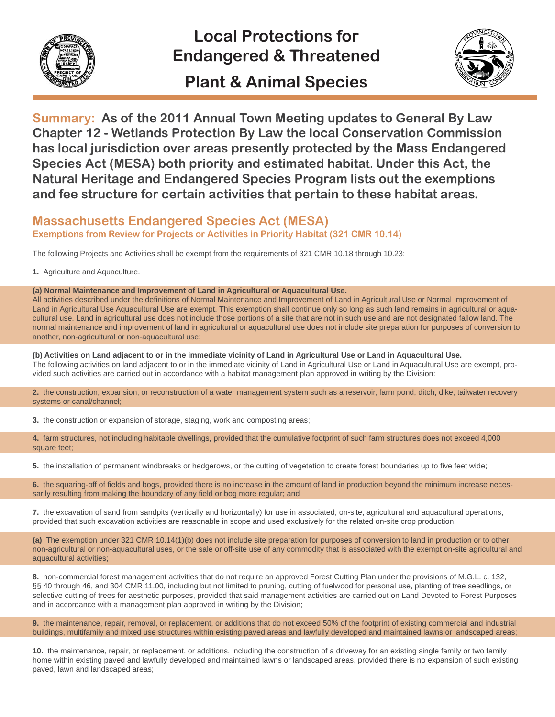

### **Local Protections for Endangered & Threatened Plant & Animal Species**



**Summary: As of the 2011 Annual Town Meeting updates to General By Law Chapter 12 - Wetlands Protection By Law the local Conservation Commission has local jurisdiction over areas presently protected by the Mass Endangered Species Act (MESA) both priority and estimated habitat. Under this Act, the Natural Heritage and Endangered Species Program lists out the exemptions and fee structure for certain activities that pertain to these habitat areas.**

#### **Massachusetts Endangered Species Act (MESA) Exemptions from Review for Projects or Activities in Priority Habitat (321 CMR 10.14)**

The following Projects and Activities shall be exempt from the requirements of 321 CMR 10.18 through 10.23:

**1.** Agriculture and Aquaculture.

**(a) Normal Maintenance and Improvement of Land in Agricultural or Aquacultural Use.**

All activities described under the definitions of Normal Maintenance and Improvement of Land in Agricultural Use or Normal Improvement of Land in Agricultural Use Aquacultural Use are exempt. This exemption shall continue only so long as such land remains in agricultural or aquacultural use. Land in agricultural use does not include those portions of a site that are not in such use and are not designated fallow land. The normal maintenance and improvement of land in agricultural or aquacultural use does not include site preparation for purposes of conversion to another, non-agricultural or non-aquacultural use;

**(b) Activities on Land adjacent to or in the immediate vicinity of Land in Agricultural Use or Land in Aquacultural Use.** The following activities on land adjacent to or in the immediate vicinity of Land in Agricultural Use or Land in Aquacultural Use are exempt, provided such activities are carried out in accordance with a habitat management plan approved in writing by the Division:

**2.** the construction, expansion, or reconstruction of a water management system such as a reservoir, farm pond, ditch, dike, tailwater recovery systems or canal/channel;

**3.** the construction or expansion of storage, staging, work and composting areas;

**4.** farm structures, not including habitable dwellings, provided that the cumulative footprint of such farm structures does not exceed 4,000 square feet;

**5.** the installation of permanent windbreaks or hedgerows, or the cutting of vegetation to create forest boundaries up to five feet wide;

**6.** the squaring-off of fields and bogs, provided there is no increase in the amount of land in production beyond the minimum increase necessarily resulting from making the boundary of any field or bog more regular; and

**7.** the excavation of sand from sandpits (vertically and horizontally) for use in associated, on-site, agricultural and aquacultural operations, provided that such excavation activities are reasonable in scope and used exclusively for the related on-site crop production.

**(a)** The exemption under 321 CMR 10.14(1)(b) does not include site preparation for purposes of conversion to land in production or to other non-agricultural or non-aquacultural uses, or the sale or off-site use of any commodity that is associated with the exempt on-site agricultural and aquacultural activities;

**8.** non-commercial forest management activities that do not require an approved Forest Cutting Plan under the provisions of M.G.L. c. 132, §§ 40 through 46, and 304 CMR 11.00, including but not limited to pruning, cutting of fuelwood for personal use, planting of tree seedlings, or selective cutting of trees for aesthetic purposes, provided that said management activities are carried out on Land Devoted to Forest Purposes and in accordance with a management plan approved in writing by the Division;

**9.** the maintenance, repair, removal, or replacement, or additions that do not exceed 50% of the footprint of existing commercial and industrial buildings, multifamily and mixed use structures within existing paved areas and lawfully developed and maintained lawns or landscaped areas;

**10.** the maintenance, repair, or replacement, or additions, including the construction of a driveway for an existing single family or two family home within existing paved and lawfully developed and maintained lawns or landscaped areas, provided there is no expansion of such existing paved, lawn and landscaped areas;